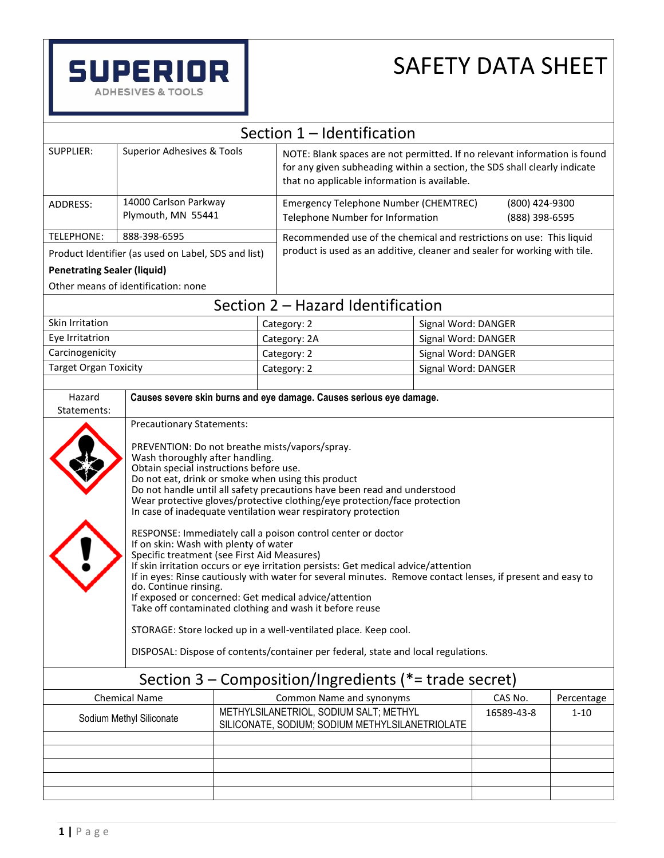

| Section 1 - Identification                              |                                                                                                                                                                                                                                                                                                                                                                                                                                                                                                                                                                                                                                                                                                                                                                                                                                                                                                                                                                                                                                                                               |                          |                                                                                                                                                                                                        |                     |                     |          |  |
|---------------------------------------------------------|-------------------------------------------------------------------------------------------------------------------------------------------------------------------------------------------------------------------------------------------------------------------------------------------------------------------------------------------------------------------------------------------------------------------------------------------------------------------------------------------------------------------------------------------------------------------------------------------------------------------------------------------------------------------------------------------------------------------------------------------------------------------------------------------------------------------------------------------------------------------------------------------------------------------------------------------------------------------------------------------------------------------------------------------------------------------------------|--------------------------|--------------------------------------------------------------------------------------------------------------------------------------------------------------------------------------------------------|---------------------|---------------------|----------|--|
| <b>SUPPLIER:</b>                                        |                                                                                                                                                                                                                                                                                                                                                                                                                                                                                                                                                                                                                                                                                                                                                                                                                                                                                                                                                                                                                                                                               |                          |                                                                                                                                                                                                        |                     |                     |          |  |
|                                                         | Superior Adhesives & Tools                                                                                                                                                                                                                                                                                                                                                                                                                                                                                                                                                                                                                                                                                                                                                                                                                                                                                                                                                                                                                                                    |                          | NOTE: Blank spaces are not permitted. If no relevant information is found<br>for any given subheading within a section, the SDS shall clearly indicate<br>that no applicable information is available. |                     |                     |          |  |
| ADDRESS:                                                | 14000 Carlson Parkway<br>Plymouth, MN 55441                                                                                                                                                                                                                                                                                                                                                                                                                                                                                                                                                                                                                                                                                                                                                                                                                                                                                                                                                                                                                                   |                          | Emergency Telephone Number (CHEMTREC)<br>(800) 424-9300<br>Telephone Number for Information<br>(888) 398-6595                                                                                          |                     |                     |          |  |
| <b>TELEPHONE:</b>                                       | 888-398-6595                                                                                                                                                                                                                                                                                                                                                                                                                                                                                                                                                                                                                                                                                                                                                                                                                                                                                                                                                                                                                                                                  |                          | Recommended use of the chemical and restrictions on use: This liquid                                                                                                                                   |                     |                     |          |  |
|                                                         | Product Identifier (as used on Label, SDS and list)                                                                                                                                                                                                                                                                                                                                                                                                                                                                                                                                                                                                                                                                                                                                                                                                                                                                                                                                                                                                                           |                          | product is used as an additive, cleaner and sealer for working with tile.                                                                                                                              |                     |                     |          |  |
| <b>Penetrating Sealer (liquid)</b>                      |                                                                                                                                                                                                                                                                                                                                                                                                                                                                                                                                                                                                                                                                                                                                                                                                                                                                                                                                                                                                                                                                               |                          |                                                                                                                                                                                                        |                     |                     |          |  |
|                                                         | Other means of identification: none                                                                                                                                                                                                                                                                                                                                                                                                                                                                                                                                                                                                                                                                                                                                                                                                                                                                                                                                                                                                                                           |                          |                                                                                                                                                                                                        |                     |                     |          |  |
|                                                         |                                                                                                                                                                                                                                                                                                                                                                                                                                                                                                                                                                                                                                                                                                                                                                                                                                                                                                                                                                                                                                                                               |                          | Section 2 - Hazard Identification                                                                                                                                                                      |                     |                     |          |  |
| Skin Irritation                                         |                                                                                                                                                                                                                                                                                                                                                                                                                                                                                                                                                                                                                                                                                                                                                                                                                                                                                                                                                                                                                                                                               |                          | Category: 2                                                                                                                                                                                            |                     | Signal Word: DANGER |          |  |
| Eye Irritatrion                                         |                                                                                                                                                                                                                                                                                                                                                                                                                                                                                                                                                                                                                                                                                                                                                                                                                                                                                                                                                                                                                                                                               |                          | Category: 2A                                                                                                                                                                                           |                     | Signal Word: DANGER |          |  |
| Carcinogenicity                                         |                                                                                                                                                                                                                                                                                                                                                                                                                                                                                                                                                                                                                                                                                                                                                                                                                                                                                                                                                                                                                                                                               |                          | Category: 2                                                                                                                                                                                            |                     | Signal Word: DANGER |          |  |
| <b>Target Organ Toxicity</b>                            |                                                                                                                                                                                                                                                                                                                                                                                                                                                                                                                                                                                                                                                                                                                                                                                                                                                                                                                                                                                                                                                                               |                          | Category: 2                                                                                                                                                                                            | Signal Word: DANGER |                     |          |  |
|                                                         |                                                                                                                                                                                                                                                                                                                                                                                                                                                                                                                                                                                                                                                                                                                                                                                                                                                                                                                                                                                                                                                                               |                          |                                                                                                                                                                                                        |                     |                     |          |  |
| Hazard<br>Statements:                                   | Causes severe skin burns and eye damage. Causes serious eye damage.                                                                                                                                                                                                                                                                                                                                                                                                                                                                                                                                                                                                                                                                                                                                                                                                                                                                                                                                                                                                           |                          |                                                                                                                                                                                                        |                     |                     |          |  |
|                                                         | <b>Precautionary Statements:</b>                                                                                                                                                                                                                                                                                                                                                                                                                                                                                                                                                                                                                                                                                                                                                                                                                                                                                                                                                                                                                                              |                          |                                                                                                                                                                                                        |                     |                     |          |  |
|                                                         | PREVENTION: Do not breathe mists/vapors/spray.<br>Wash thoroughly after handling.<br>Obtain special instructions before use.<br>Do not eat, drink or smoke when using this product<br>Do not handle until all safety precautions have been read and understood<br>Wear protective gloves/protective clothing/eye protection/face protection<br>In case of inadequate ventilation wear respiratory protection<br>RESPONSE: Immediately call a poison control center or doctor<br>If on skin: Wash with plenty of water<br>Specific treatment (see First Aid Measures)<br>If skin irritation occurs or eye irritation persists: Get medical advice/attention<br>If in eyes: Rinse cautiously with water for several minutes. Remove contact lenses, if present and easy to<br>do. Continue rinsing.<br>If exposed or concerned: Get medical advice/attention<br>Take off contaminated clothing and wash it before reuse<br>STORAGE: Store locked up in a well-ventilated place. Keep cool.<br>DISPOSAL: Dispose of contents/container per federal, state and local regulations. |                          |                                                                                                                                                                                                        |                     |                     |          |  |
| Section $3$ – Composition/Ingredients (*= trade secret) |                                                                                                                                                                                                                                                                                                                                                                                                                                                                                                                                                                                                                                                                                                                                                                                                                                                                                                                                                                                                                                                                               |                          |                                                                                                                                                                                                        |                     |                     |          |  |
| <b>Chemical Name</b>                                    |                                                                                                                                                                                                                                                                                                                                                                                                                                                                                                                                                                                                                                                                                                                                                                                                                                                                                                                                                                                                                                                                               | Common Name and synonyms |                                                                                                                                                                                                        | CAS No.             | Percentage          |          |  |
| Sodium Methyl Siliconate                                |                                                                                                                                                                                                                                                                                                                                                                                                                                                                                                                                                                                                                                                                                                                                                                                                                                                                                                                                                                                                                                                                               |                          | METHYLSILANETRIOL, SODIUM SALT; METHYL<br>SILICONATE, SODIUM; SODIUM METHYLSILANETRIOLATE                                                                                                              |                     | 16589-43-8          | $1 - 10$ |  |
|                                                         |                                                                                                                                                                                                                                                                                                                                                                                                                                                                                                                                                                                                                                                                                                                                                                                                                                                                                                                                                                                                                                                                               |                          |                                                                                                                                                                                                        |                     |                     |          |  |
|                                                         |                                                                                                                                                                                                                                                                                                                                                                                                                                                                                                                                                                                                                                                                                                                                                                                                                                                                                                                                                                                                                                                                               |                          |                                                                                                                                                                                                        |                     |                     |          |  |
|                                                         |                                                                                                                                                                                                                                                                                                                                                                                                                                                                                                                                                                                                                                                                                                                                                                                                                                                                                                                                                                                                                                                                               |                          |                                                                                                                                                                                                        |                     |                     |          |  |
|                                                         |                                                                                                                                                                                                                                                                                                                                                                                                                                                                                                                                                                                                                                                                                                                                                                                                                                                                                                                                                                                                                                                                               |                          |                                                                                                                                                                                                        |                     |                     |          |  |
|                                                         |                                                                                                                                                                                                                                                                                                                                                                                                                                                                                                                                                                                                                                                                                                                                                                                                                                                                                                                                                                                                                                                                               |                          |                                                                                                                                                                                                        |                     |                     |          |  |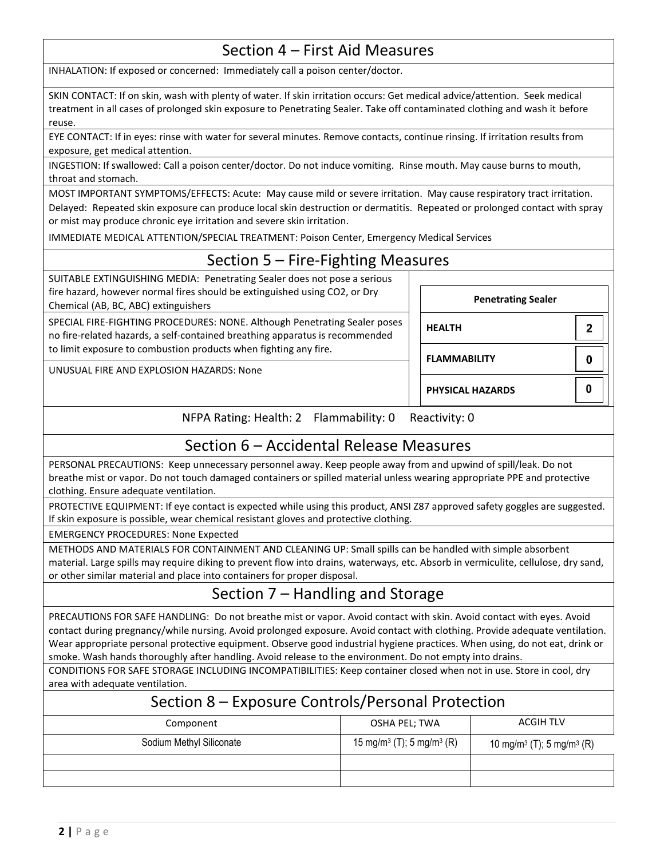### Section 4 – First Aid Measures

INHALATION: If exposed or concerned: Immediately call a poison center/doctor.

SKIN CONTACT: If on skin, wash with plenty of water. If skin irritation occurs: Get medical advice/attention. Seek medical treatment in all cases of prolonged skin exposure to Penetrating Sealer. Take off contaminated clothing and wash it before reuse.

EYE CONTACT: If in eyes: rinse with water for several minutes. Remove contacts, continue rinsing. If irritation results from exposure, get medical attention.

INGESTION: If swallowed: Call a poison center/doctor. Do not induce vomiting. Rinse mouth. May cause burns to mouth, throat and stomach.

MOST IMPORTANT SYMPTOMS/EFFECTS: Acute: May cause mild or severe irritation. May cause respiratory tract irritation. Delayed: Repeated skin exposure can produce local skin destruction or dermatitis. Repeated or prolonged contact with spray or mist may produce chronic eye irritation and severe skin irritation.

IMMEDIATE MEDICAL ATTENTION/SPECIAL TREATMENT: Poison Center, Emergency Medical Services

# Section 5 – Fire-Fighting Measures

SUITABLE EXTINGUISHING MEDIA: Penetrating Sealer does not pose a serious fire hazard, however normal fires should be extinguished using CO2, or Dry Chemical (AB, BC, ABC) extinguishers

SPECIAL FIRE-FIGHTING PROCEDURES: NONE. Although Penetrating Sealer poses no fire-related hazards, a self-contained breathing apparatus is recommended to limit exposure to combustion products when fighting any fire.

UNUSUAL FIRE AND EXPLOSION HAZARDS: None

**HEALTH FLAMMABILITY PHYSICAL HAZARDS**

**Penetrating Sealer**

 $\overline{2}$ 

 $\mathbf 0$ 

 $\bf{0}$ 

NFPA Rating: Health: 2 Flammability: 0 Reactivity: 0

## Section 6 – Accidental Release Measures

PERSONAL PRECAUTIONS: Keep unnecessary personnel away. Keep people away from and upwind of spill/leak. Do not breathe mist or vapor. Do not touch damaged containers or spilled material unless wearing appropriate PPE and protective clothing. Ensure adequate ventilation.

PROTECTIVE EQUIPMENT: If eye contact is expected while using this product, ANSI Z87 approved safety goggles are suggested. If skin exposure is possible, wear chemical resistant gloves and protective clothing.

EMERGENCY PROCEDURES: None Expected

METHODS AND MATERIALS FOR CONTAINMENT AND CLEANING UP: Small spills can be handled with simple absorbent material. Large spills may require diking to prevent flow into drains, waterways, etc. Absorb in vermiculite, cellulose, dry sand, or other similar material and place into containers for proper disposal.

# Section 7 – Handling and Storage

PRECAUTIONS FOR SAFE HANDLING: Do not breathe mist or vapor. Avoid contact with skin. Avoid contact with eyes. Avoid contact during pregnancy/while nursing. Avoid prolonged exposure. Avoid contact with clothing. Provide adequate ventilation. Wear appropriate personal protective equipment. Observe good industrial hygiene practices. When using, do not eat, drink or smoke. Wash hands thoroughly after handling. Avoid release to the environment. Do not empty into drains.

CONDITIONS FOR SAFE STORAGE INCLUDING INCOMPATIBILITIES: Keep container closed when not in use. Store in cool, dry area with adequate ventilation.

#### Section 8 – Exposure Controls/Personal Protection

| Component                | OSHA PEL; TWA                                     | <b>ACGIH TLV</b>                                  |  |
|--------------------------|---------------------------------------------------|---------------------------------------------------|--|
| Sodium Methyl Siliconate | 15 mg/m <sup>3</sup> (T); 5 mg/m <sup>3</sup> (R) | 10 mg/m <sup>3</sup> (T); 5 mg/m <sup>3</sup> (R) |  |
|                          |                                                   |                                                   |  |
|                          |                                                   |                                                   |  |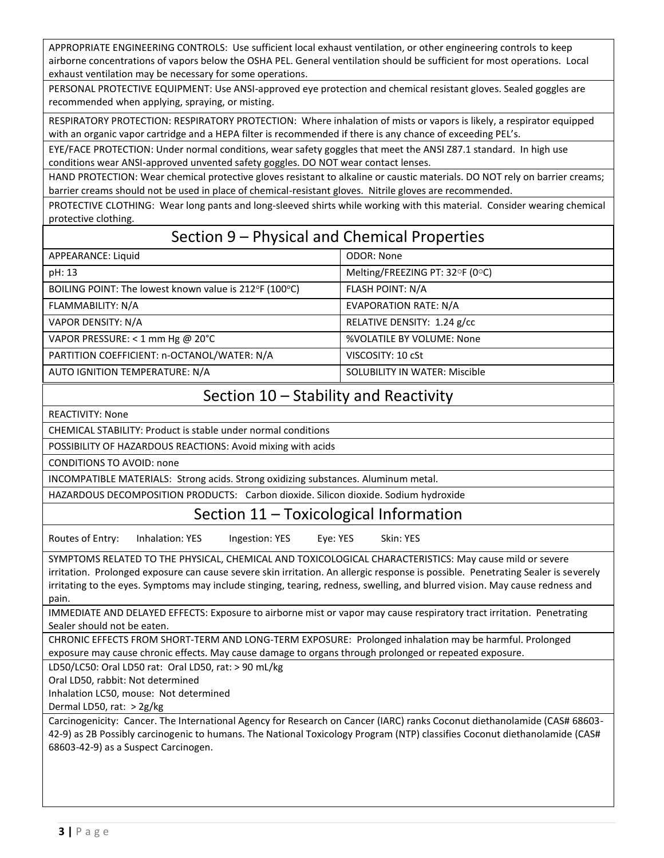APPROPRIATE ENGINEERING CONTROLS: Use sufficient local exhaust ventilation, or other engineering controls to keep airborne concentrations of vapors below the OSHA PEL. General ventilation should be sufficient for most operations. Local exhaust ventilation may be necessary for some operations.

PERSONAL PROTECTIVE EQUIPMENT: Use ANSI-approved eye protection and chemical resistant gloves. Sealed goggles are recommended when applying, spraying, or misting.

RESPIRATORY PROTECTION: RESPIRATORY PROTECTION: Where inhalation of mists or vapors is likely, a respirator equipped with an organic vapor cartridge and a HEPA filter is recommended if there is any chance of exceeding PEL's.

EYE/FACE PROTECTION: Under normal conditions, wear safety goggles that meet the ANSI Z87.1 standard. In high use conditions wear ANSI-approved unvented safety goggles. DO NOT wear contact lenses.

HAND PROTECTION: Wear chemical protective gloves resistant to alkaline or caustic materials. DO NOT rely on barrier creams; barrier creams should not be used in place of chemical-resistant gloves. Nitrile gloves are recommended.

PROTECTIVE CLOTHING: Wear long pants and long-sleeved shirts while working with this material. Consider wearing chemical protective clothing.

## Section 9 – Physical and Chemical Properties

| APPEARANCE: Liquid                                     | <b>ODOR: None</b>                        |
|--------------------------------------------------------|------------------------------------------|
| pH: 13                                                 | Melting/FREEZING PT: $32^{\circ}F$ (0°C) |
| BOILING POINT: The lowest known value is 212°F (100°C) | <b>FLASH POINT: N/A</b>                  |
| FLAMMABILITY: N/A                                      | <b>EVAPORATION RATE: N/A</b>             |
| VAPOR DENSITY: N/A                                     | RELATIVE DENSITY: 1.24 g/cc              |
| VAPOR PRESSURE: $<$ 1 mm Hg @ 20°C                     | %VOLATILE BY VOLUME: None                |
| PARTITION COEFFICIENT: n-OCTANOL/WATER: N/A            | VISCOSITY: 10 cSt                        |
| AUTO IGNITION TEMPERATURE: N/A                         | <b>SOLUBILITY IN WATER: Miscible</b>     |

### Section 10 – Stability and Reactivity

REACTIVITY: None

CHEMICAL STABILITY: Product is stable under normal conditions

POSSIBILITY OF HAZARDOUS REACTIONS: Avoid mixing with acids

CONDITIONS TO AVOID: none

INCOMPATIBLE MATERIALS: Strong acids. Strong oxidizing substances. Aluminum metal.

HAZARDOUS DECOMPOSITION PRODUCTS: Carbon dioxide. Silicon dioxide. Sodium hydroxide

#### Section 11 – Toxicological Information

Routes of Entry: Inhalation: YES Ingestion: YES Eye: YES Skin: YES

SYMPTOMS RELATED TO THE PHYSICAL, CHEMICAL AND TOXICOLOGICAL CHARACTERISTICS: May cause mild or severe irritation. Prolonged exposure can cause severe skin irritation. An allergic response is possible. Penetrating Sealer is severely irritating to the eyes. Symptoms may include stinging, tearing, redness, swelling, and blurred vision. May cause redness and pain.

IMMEDIATE AND DELAYED EFFECTS: Exposure to airborne mist or vapor may cause respiratory tract irritation. Penetrating Sealer should not be eaten.

CHRONIC EFFECTS FROM SHORT-TERM AND LONG-TERM EXPOSURE: Prolonged inhalation may be harmful. Prolonged exposure may cause chronic effects. May cause damage to organs through prolonged or repeated exposure.

LD50/LC50: Oral LD50 rat: Oral LD50, rat: > 90 mL/kg

Oral LD50, rabbit: Not determined

Inhalation LC50, mouse: Not determined

Dermal LD50, rat: > 2g/kg

Carcinogenicity: Cancer. The International Agency for Research on Cancer (IARC) ranks Coconut diethanolamide (CAS# 68603- 42-9) as 2B Possibly carcinogenic to humans. The National Toxicology Program (NTP) classifies Coconut diethanolamide (CAS# 68603-42-9) as a Suspect Carcinogen.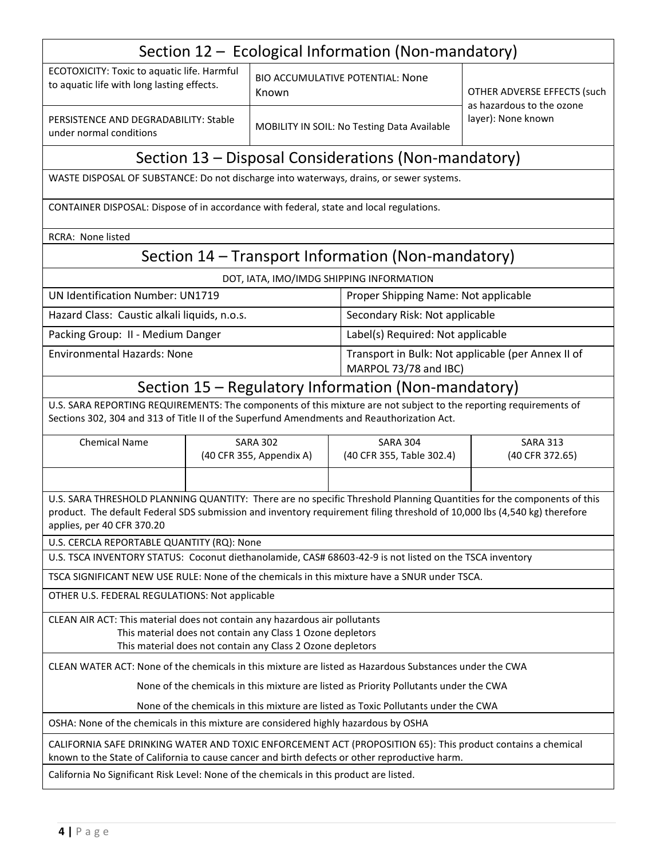| Section 12 – Ecological Information (Non-mandatory)                                                                                                                                                                                                                              |                                             |       |                                                                             |                                                                                |  |  |  |  |
|----------------------------------------------------------------------------------------------------------------------------------------------------------------------------------------------------------------------------------------------------------------------------------|---------------------------------------------|-------|-----------------------------------------------------------------------------|--------------------------------------------------------------------------------|--|--|--|--|
| ECOTOXICITY: Toxic to aquatic life. Harmful<br>to aquatic life with long lasting effects.                                                                                                                                                                                        |                                             | Known | <b>BIO ACCUMULATIVE POTENTIAL: None</b>                                     | OTHER ADVERSE EFFECTS (such<br>as hazardous to the ozone<br>layer): None known |  |  |  |  |
| PERSISTENCE AND DEGRADABILITY: Stable<br>under normal conditions                                                                                                                                                                                                                 |                                             |       | MOBILITY IN SOIL: No Testing Data Available                                 |                                                                                |  |  |  |  |
| Section 13 – Disposal Considerations (Non-mandatory)                                                                                                                                                                                                                             |                                             |       |                                                                             |                                                                                |  |  |  |  |
| WASTE DISPOSAL OF SUBSTANCE: Do not discharge into waterways, drains, or sewer systems.                                                                                                                                                                                          |                                             |       |                                                                             |                                                                                |  |  |  |  |
| CONTAINER DISPOSAL: Dispose of in accordance with federal, state and local regulations.                                                                                                                                                                                          |                                             |       |                                                                             |                                                                                |  |  |  |  |
| <b>RCRA: None listed</b>                                                                                                                                                                                                                                                         |                                             |       |                                                                             |                                                                                |  |  |  |  |
|                                                                                                                                                                                                                                                                                  |                                             |       | Section 14 – Transport Information (Non-mandatory)                          |                                                                                |  |  |  |  |
|                                                                                                                                                                                                                                                                                  |                                             |       | DOT, IATA, IMO/IMDG SHIPPING INFORMATION                                    |                                                                                |  |  |  |  |
| <b>UN Identification Number: UN1719</b>                                                                                                                                                                                                                                          |                                             |       | Proper Shipping Name: Not applicable                                        |                                                                                |  |  |  |  |
| Hazard Class: Caustic alkali liquids, n.o.s.                                                                                                                                                                                                                                     |                                             |       | Secondary Risk: Not applicable                                              |                                                                                |  |  |  |  |
| Packing Group: II - Medium Danger                                                                                                                                                                                                                                                |                                             |       |                                                                             | Label(s) Required: Not applicable                                              |  |  |  |  |
| <b>Environmental Hazards: None</b>                                                                                                                                                                                                                                               |                                             |       | Transport in Bulk: Not applicable (per Annex II of<br>MARPOL 73/78 and IBC) |                                                                                |  |  |  |  |
| Section 15 – Regulatory Information (Non-mandatory)                                                                                                                                                                                                                              |                                             |       |                                                                             |                                                                                |  |  |  |  |
| U.S. SARA REPORTING REQUIREMENTS: The components of this mixture are not subject to the reporting requirements of<br>Sections 302, 304 and 313 of Title II of the Superfund Amendments and Reauthorization Act.                                                                  |                                             |       |                                                                             |                                                                                |  |  |  |  |
| <b>Chemical Name</b>                                                                                                                                                                                                                                                             | <b>SARA 302</b><br>(40 CFR 355, Appendix A) |       | <b>SARA 304</b><br>(40 CFR 355, Table 302.4)                                | <b>SARA 313</b><br>(40 CFR 372.65)                                             |  |  |  |  |
| U.S. SARA THRESHOLD PLANNING QUANTITY: There are no specific Threshold Planning Quantities for the components of this<br>product. The default Federal SDS submission and inventory requirement filing threshold of 10,000 lbs (4,540 kg) therefore<br>applies, per 40 CFR 370.20 |                                             |       |                                                                             |                                                                                |  |  |  |  |
| U.S. CERCLA REPORTABLE QUANTITY (RQ): None<br>U.S. TSCA INVENTORY STATUS: Coconut diethanolamide, CAS# 68603-42-9 is not listed on the TSCA inventory                                                                                                                            |                                             |       |                                                                             |                                                                                |  |  |  |  |
| TSCA SIGNIFICANT NEW USE RULE: None of the chemicals in this mixture have a SNUR under TSCA.                                                                                                                                                                                     |                                             |       |                                                                             |                                                                                |  |  |  |  |
| OTHER U.S. FEDERAL REGULATIONS: Not applicable                                                                                                                                                                                                                                   |                                             |       |                                                                             |                                                                                |  |  |  |  |
| CLEAN AIR ACT: This material does not contain any hazardous air pollutants<br>This material does not contain any Class 1 Ozone depletors<br>This material does not contain any Class 2 Ozone depletors                                                                           |                                             |       |                                                                             |                                                                                |  |  |  |  |
| CLEAN WATER ACT: None of the chemicals in this mixture are listed as Hazardous Substances under the CWA                                                                                                                                                                          |                                             |       |                                                                             |                                                                                |  |  |  |  |
| None of the chemicals in this mixture are listed as Priority Pollutants under the CWA                                                                                                                                                                                            |                                             |       |                                                                             |                                                                                |  |  |  |  |
| None of the chemicals in this mixture are listed as Toxic Pollutants under the CWA                                                                                                                                                                                               |                                             |       |                                                                             |                                                                                |  |  |  |  |
| OSHA: None of the chemicals in this mixture are considered highly hazardous by OSHA                                                                                                                                                                                              |                                             |       |                                                                             |                                                                                |  |  |  |  |
| CALIFORNIA SAFE DRINKING WATER AND TOXIC ENFORCEMENT ACT (PROPOSITION 65): This product contains a chemical<br>known to the State of California to cause cancer and birth defects or other reproductive harm.                                                                    |                                             |       |                                                                             |                                                                                |  |  |  |  |
| California No Significant Risk Level: None of the chemicals in this product are listed.                                                                                                                                                                                          |                                             |       |                                                                             |                                                                                |  |  |  |  |